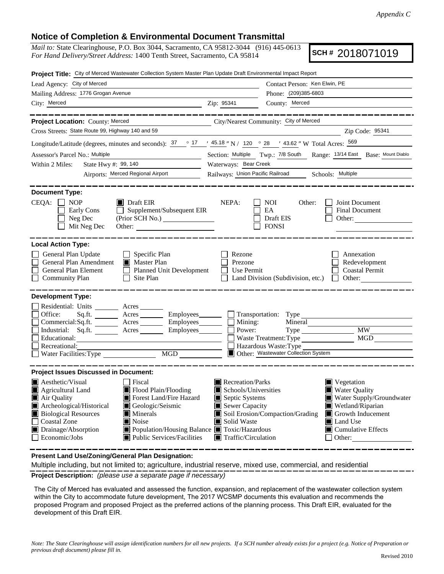## **Notice of Completion & Environmental Document Transmittal**

*Mail to:* State Clearinghouse, P.O. Box 3044, Sacramento, CA 95812-3044 (916) 445-0613 *For Hand Delivery/Street Address:* 1400 Tenth Street, Sacramento, CA 95814

**SCH #** 2018071019

| Project Title: City of Merced Wastewater Collection System Master Plan Update Draft Environmental Impact Report                                                                                                                                                                                                                                                                                            |                                                                                                                                          |                                                                                                  |                                                                            |
|------------------------------------------------------------------------------------------------------------------------------------------------------------------------------------------------------------------------------------------------------------------------------------------------------------------------------------------------------------------------------------------------------------|------------------------------------------------------------------------------------------------------------------------------------------|--------------------------------------------------------------------------------------------------|----------------------------------------------------------------------------|
| Lead Agency: City of Merced                                                                                                                                                                                                                                                                                                                                                                                |                                                                                                                                          | Contact Person: Ken Elwin, PE                                                                    |                                                                            |
| Mailing Address: 1776 Grogan Avenue                                                                                                                                                                                                                                                                                                                                                                        | Phone: (209)385-6803                                                                                                                     |                                                                                                  |                                                                            |
| City: Merced<br><u>2</u> Zip: 95341                                                                                                                                                                                                                                                                                                                                                                        |                                                                                                                                          | County: Merced                                                                                   |                                                                            |
| City/Nearest Community: City of Merced<br>Project Location: County: Merced                                                                                                                                                                                                                                                                                                                                 |                                                                                                                                          |                                                                                                  |                                                                            |
| Cross Streets: State Route 99, Highway 140 and 59                                                                                                                                                                                                                                                                                                                                                          |                                                                                                                                          |                                                                                                  | Zip Code: 95341                                                            |
| Longitude/Latitude (degrees, minutes and seconds): $\frac{37}{12}$ $\frac{17}{12}$ $\frac{45.18}{12}$ N / 120 $\degree$ 28 $\degree$ 43.62 " W Total Acres: $\frac{569}{12}$                                                                                                                                                                                                                               |                                                                                                                                          |                                                                                                  |                                                                            |
| Assessor's Parcel No.: Multiple                                                                                                                                                                                                                                                                                                                                                                            | Section: Multiple Twp.: 7/8 South Range: 13/14 East Base: Mount Diablo                                                                   |                                                                                                  |                                                                            |
| State Hwy #: 99, 140<br>Within 2 Miles:                                                                                                                                                                                                                                                                                                                                                                    | Waterways: Bear Creek                                                                                                                    |                                                                                                  |                                                                            |
| Airports: Merced Regional Airport                                                                                                                                                                                                                                                                                                                                                                          | Railways: Union Pacific Railroad Schools: Multiple                                                                                       |                                                                                                  |                                                                            |
| <b>Document Type:</b><br>CEQA:<br>$\Box$ NOP<br>$\blacksquare$ Draft EIR<br>$\Box$ Supplement/Subsequent EIR<br>Early Cons<br>Neg Dec<br>(Prior SCH No.)<br>Mit Neg Dec                                                                                                                                                                                                                                    | NEPA:                                                                                                                                    | NOI.<br>Other:<br>EA<br>Draft EIS<br><b>FONSI</b>                                                | Joint Document<br><b>Final Document</b><br>Other:                          |
| <b>Local Action Type:</b><br>$\Box$ Specific Plan<br>General Plan Update<br>General Plan Amendment<br>$\blacksquare$ Master Plan<br>Planned Unit Development<br>General Plan Element<br>$\Box$ Site Plan<br><b>Community Plan</b>                                                                                                                                                                          | Rezone<br>Prezone<br>$\Box$ Use Permit                                                                                                   | Land Division (Subdivision, etc.) $\Box$ Other:                                                  | Annexation<br>Redevelopment<br><b>Coastal Permit</b>                       |
| <b>Development Type:</b><br>Residential: Units ________ Acres _____<br>Sq.ft. _________ Acres __________ Employees ________ ___ Transportation: Type _____________________<br>Office:<br>$Commetrical:$ Sq.ft. $\overline{\qquad}$ Acres $\overline{\qquad}$ Employees $\overline{\qquad}$ Mining:<br>Industrial: Sq.ft. Acres Employees<br>Educational:<br>Recreational:<br>Water Facilities: Type<br>MGD | Power:                                                                                                                                   | Mineral<br>Waste Treatment: Type<br>Hazardous Waste: Type<br>Other: Wastewater Collection System | MW NW<br>MGD                                                               |
| <b>Project Issues Discussed in Document:</b><br><b>A</b> esthetic/Visual<br>  Fiscal<br>Flood Plain/Flooding<br>Agricultural Land                                                                                                                                                                                                                                                                          | Recreation/Parks<br>$\blacksquare$ Vegetation<br><b>Water Quality</b><br>$\blacksquare$ Schools/Universities<br>Water Supply/Groundwater |                                                                                                  |                                                                            |
| Air Quality<br><b>Note Strutter</b> Flazard<br>Archeological/Historical<br>Geologic/Seismic<br><b>Biological Resources</b><br>$\blacksquare$ Minerals<br>Coastal Zone<br>Noise<br>$\blacksquare$ Drainage/Absorption<br>■ Population/Housing Balance ■ Toxic/Hazardous<br>$\blacksquare$ Public Services/Facilities<br>$\Box$ Economic/Jobs                                                                | Septic Systems<br>$\blacksquare$ Sewer Capacity<br>Solid Waste<br>$\blacksquare$ Traffic/Circulation                                     | Soil Erosion/Compaction/Grading<br>Land Use<br>$\Box$ Other:                                     | Wetland/Riparian<br>Growth Inducement<br>$\blacksquare$ Cumulative Effects |

**Present Land Use/Zoning/General Plan Designation:**

**Project Description:** *(please use a separate page if necessary)* Multiple including, but not limited to; agriculture, industrial reserve, mixed use, commercial, and residential

The City of Merced has evaluated and assessed the function, expansion, and replacement of the wastewater collection system within the City to accommodate future development, The 2017 WCSMP documents this evaluation and recommends the proposed Program and proposed Project as the preferred actions of the planning process. This Draft EIR, evaluated for the development of this Draft EIR.